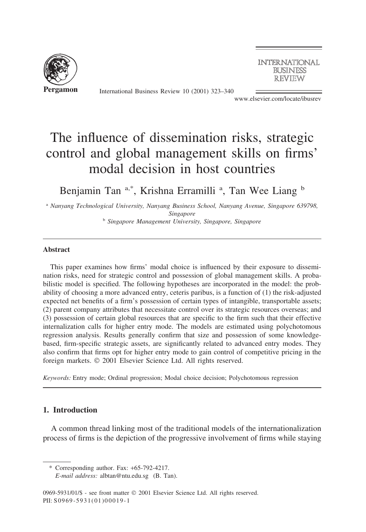

International Business Review 10 (2001) 323–340

**INTERNATIONAL BUSINESS REVIEW** 

www.elsevier.com/locate/ibusrev

# The influence of dissemination risks, strategic control and global management skills on firms' modal decision in host countries

Benjamin Tan a,\*, Krishna Erramilli <sup>a</sup>, Tan Wee Liang b

<sup>a</sup> *Nanyang Technological University, Nanyang Business School, Nanyang Avenue, Singapore 639798, Singapore* <sup>b</sup> *Singapore Management University, Singapore, Singapore*

#### **Abstract**

This paper examines how firms' modal choice is influenced by their exposure to dissemination risks, need for strategic control and possession of global management skills. A probabilistic model is specified. The following hypotheses are incorporated in the model: the probability of choosing a more advanced entry, ceteris paribus, is a function of (1) the risk-adjusted expected net benefits of a firm's possession of certain types of intangible, transportable assets; (2) parent company attributes that necessitate control over its strategic resources overseas; and (3) possession of certain global resources that are specific to the firm such that their effective internalization calls for higher entry mode. The models are estimated using polychotomous regression analysis. Results generally confirm that size and possession of some knowledgebased, firm-specific strategic assets, are significantly related to advanced entry modes. They also confirm that firms opt for higher entry mode to gain control of competitive pricing in the foreign markets.  $© 2001$  Elsevier Science Ltd. All rights reserved.

*Keywords:* Entry mode; Ordinal progression; Modal choice decision; Polychotomous regression

### **1. Introduction**

A common thread linking most of the traditional models of the internationalization process of firms is the depiction of the progressive involvement of firms while staying

<sup>\*</sup> Corresponding author. Fax: +65-792-4217.

*E-mail address:* albtan@ntu.edu.sg (B. Tan).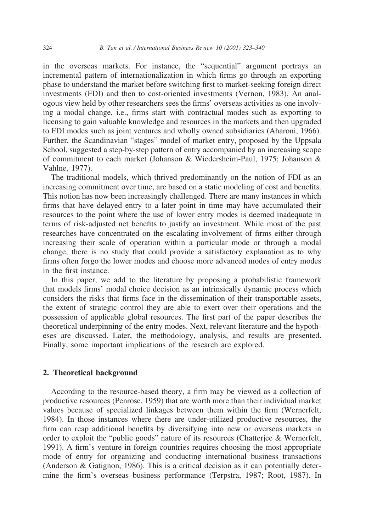in the overseas markets. For instance, the "sequential" argument portrays an incremental pattern of internationalization in which firms go through an exporting phase to understand the market before switching first to market-seeking foreign direct investments (FDI) and then to cost-oriented investments (Vernon, 1983). An analogous view held by other researchers sees the firms' overseas activities as one involving a modal change, i.e., firms start with contractual modes such as exporting to licensing to gain valuable knowledge and resources in the markets and then upgraded to FDI modes such as joint ventures and wholly owned subsidiaries (Aharoni, 1966). Further, the Scandinavian "stages" model of market entry, proposed by the Uppsala School, suggested a step-by-step pattern of entry accompanied by an increasing scope of commitment to each market (Johanson & Wiedersheim-Paul, 1975; Johanson & Vahlne, 1977).

The traditional models, which thrived predominantly on the notion of FDI as an increasing commitment over time, are based on a static modeling of cost and benefits. This notion has now been increasingly challenged. There are many instances in which firms that have delayed entry to a later point in time may have accumulated their resources to the point where the use of lower entry modes is deemed inadequate in terms of risk-adjusted net benefits to justify an investment. While most of the past researches have concentrated on the escalating involvement of firms either through increasing their scale of operation within a particular mode or through a modal change, there is no study that could provide a satisfactory explanation as to why firms often forgo the lower modes and choose more advanced modes of entry modes in the first instance.

In this paper, we add to the literature by proposing a probabilistic framework that models firms' modal choice decision as an intrinsically dynamic process which considers the risks that firms face in the dissemination of their transportable assets, the extent of strategic control they are able to exert over their operations and the possession of applicable global resources. The first part of the paper describes the theoretical underpinning of the entry modes. Next, relevant literature and the hypotheses are discussed. Later, the methodology, analysis, and results are presented. Finally, some important implications of the research are explored.

### **2. Theoretical background**

According to the resource-based theory, a firm may be viewed as a collection of productive resources (Penrose, 1959) that are worth more than their individual market values because of specialized linkages between them within the firm (Wernerfelt, 1984). In those instances where there are under-utilized productive resources, the firm can reap additional benefits by diversifying into new or overseas markets in order to exploit the "public goods" nature of its resources (Chatterjee & Wernerfelt, 1991). A firm's venture in foreign countries requires choosing the most appropriate mode of entry for organizing and conducting international business transactions (Anderson & Gatignon, 1986). This is a critical decision as it can potentially determine the firm's overseas business performance (Terpstra, 1987; Root, 1987). In